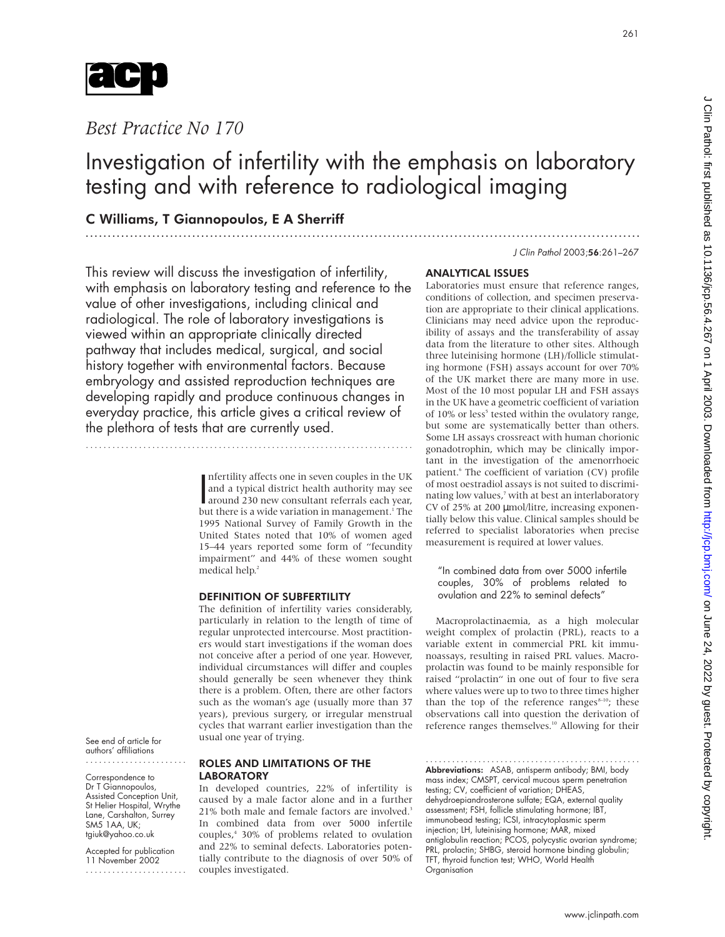

# *Best Practice No 170*

Investigation of infertility with the emphasis on laboratory testing and with reference to radiological imaging

# C Williams, T Giannopoulos, E A Sherriff .............................................................................................................................

This review will discuss the investigation of infertility, with emphasis on laboratory testing and reference to the value of other investigations, including clinical and radiological. The role of laboratory investigations is viewed within an appropriate clinically directed pathway that includes medical, surgical, and social history together with environmental factors. Because embryology and assisted reproduction techniques are developing rapidly and produce continuous changes in everyday practice, this article gives a critical review of the plethora of tests that are currently used.

## ntertility affects one in seven couples in the UK<br>and a typical district health authority may see<br>around 230 new consultant referrals each year,<br>but there is a wide variation in management <sup>1</sup> The nfertility affects one in seven couples in the UK and a typical district health authority may see but there is a wide variation in management.<sup>1</sup> The 1995 National Survey of Family Growth in the United States noted that 10% of women aged 15–44 years reported some form of "fecundity impairment" and 44% of these women sought medical help.<sup>2</sup>

# DEFINITION OF SUBFERTILITY

The definition of infertility varies considerably, particularly in relation to the length of time of regular unprotected intercourse. Most practitioners would start investigations if the woman does not conceive after a period of one year. However, individual circumstances will differ and couples should generally be seen whenever they think there is a problem. Often, there are other factors such as the woman's age (usually more than 37 years), previous surgery, or irregular menstrual cycles that warrant earlier investigation than the usual one year of trying.

See end of article for authors' affiliations .......................

Correspondence to Dr T Giannopoulos, Assisted Conception Unit, St Helier Hospital, Wrythe Lane, Carshalton, Surrey SM5 1AA, UK; tgiuk@yahoo.co.uk

Accepted for publication 11 November 2002 .......................

# ROLES AND LIMITATIONS OF THE LABORATORY

In developed countries, 22% of infertility is caused by a male factor alone and in a further 21% both male and female factors are involved.<sup>3</sup> In combined data from over 5000 infertile couples,4 30% of problems related to ovulation and 22% to seminal defects. Laboratories potentially contribute to the diagnosis of over 50% of couples investigated.

### J Clin Pathol 2003;56:261–267

261

# ANALYTICAL ISSUES

Laboratories must ensure that reference ranges, conditions of collection, and specimen preservation are appropriate to their clinical applications. Clinicians may need advice upon the reproducibility of assays and the transferability of assay data from the literature to other sites. Although three luteinising hormone (LH)/follicle stimulating hormone (FSH) assays account for over 70% of the UK market there are many more in use. Most of the 10 most popular LH and FSH assays in the UK have a geometric coefficient of variation of 10% or less<sup>5</sup> tested within the ovulatory range, but some are systematically better than others. Some LH assays crossreact with human chorionic gonadotrophin, which may be clinically important in the investigation of the amenorrhoeic patient.<sup>6</sup> The coefficient of variation (CV) profile of most oestradiol assays is not suited to discriminating low values,<sup>7</sup> with at best an interlaboratory CV of 25% at 200 µmol/litre, increasing exponentially below this value. Clinical samples should be referred to specialist laboratories when precise measurement is required at lower values.

"In combined data from over 5000 infertile couples, 30% of problems related to ovulation and 22% to seminal defects"

Macroprolactinaemia, as a high molecular weight complex of prolactin (PRL), reacts to a variable extent in commercial PRL kit immunoassays, resulting in raised PRL values. Macroprolactin was found to be mainly responsible for raised "prolactin" in one out of four to five sera where values were up to two to three times higher than the top of the reference ranges $s=10$ ; these observations call into question the derivation of reference ranges themselves.10 Allowing for their

................................................. Abbreviations: ASAB, antisperm antibody; BMI, body mass index; CMSPT, cervical mucous sperm penetration testing; CV, coefficient of variation; DHEAS, dehydroepiandrosterone sulfate; EQA, external quality assessment; FSH, follicle stimulating hormone; IBT, immunobead testing; ICSI, intracytoplasmic sperm injection; LH, luteinising hormone; MAR, mixed antiglobulin reaction; PCOS, polycystic ovarian syndrome; PRL, prolactin; SHBG, steroid hormone binding globulin; TFT, thyroid function test; WHO, World Health **Organisation**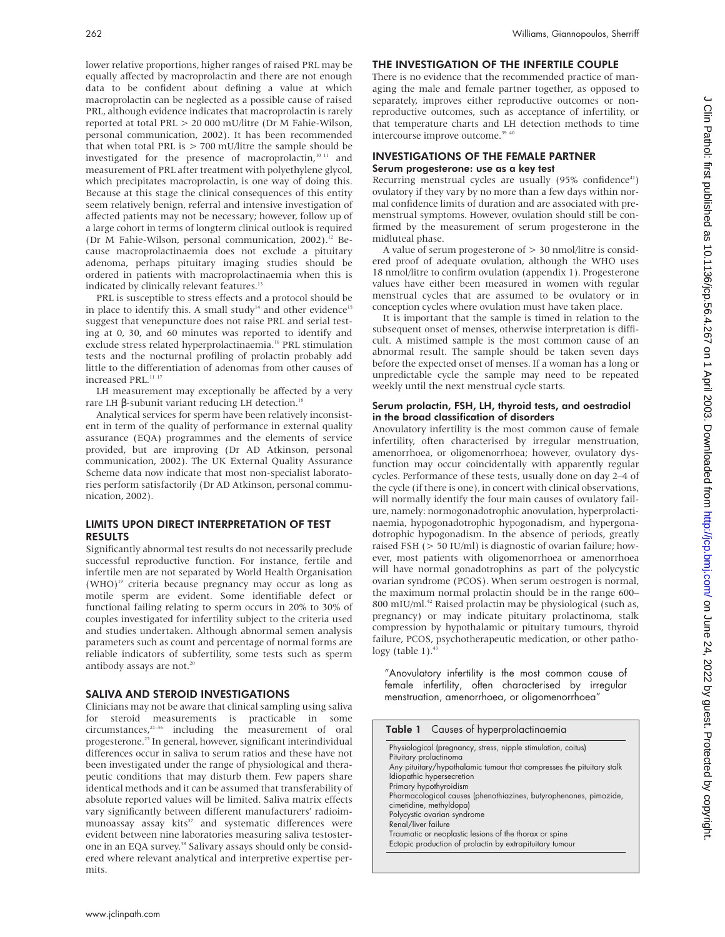lower relative proportions, higher ranges of raised PRL may be equally affected by macroprolactin and there are not enough data to be confident about defining a value at which macroprolactin can be neglected as a possible cause of raised PRL, although evidence indicates that macroprolactin is rarely reported at total PRL > 20 000 mU/litre (Dr M Fahie-Wilson, personal communication, 2002). It has been recommended that when total PRL is > 700 mU/litre the sample should be investigated for the presence of macroprolactin,<sup>10 11</sup> and measurement of PRL after treatment with polyethylene glycol, which precipitates macroprolactin, is one way of doing this. Because at this stage the clinical consequences of this entity seem relatively benign, referral and intensive investigation of affected patients may not be necessary; however, follow up of a large cohort in terms of longterm clinical outlook is required (Dr M Fahie-Wilson, personal communication, 2002).<sup>12</sup> Because macroprolactinaemia does not exclude a pituitary adenoma, perhaps pituitary imaging studies should be ordered in patients with macroprolactinaemia when this is indicated by clinically relevant features.<sup>13</sup>

PRL is susceptible to stress effects and a protocol should be in place to identify this. A small study<sup>14</sup> and other evidence<sup>15</sup> suggest that venepuncture does not raise PRL and serial testing at 0, 30, and 60 minutes was reported to identify and exclude stress related hyperprolactinaemia.<sup>16</sup> PRL stimulation tests and the nocturnal profiling of prolactin probably add little to the differentiation of adenomas from other causes of increased PRL.<sup>11 17</sup>

LH measurement may exceptionally be affected by a very rare LH β-subunit variant reducing LH detection.<sup>1</sup>

Analytical services for sperm have been relatively inconsistent in term of the quality of performance in external quality assurance (EQA) programmes and the elements of service provided, but are improving (Dr AD Atkinson, personal communication, 2002). The UK External Quality Assurance Scheme data now indicate that most non-specialist laboratories perform satisfactorily (Dr AD Atkinson, personal communication, 2002).

# LIMITS UPON DIRECT INTERPRETATION OF TEST RESULTS

Significantly abnormal test results do not necessarily preclude successful reproductive function. For instance, fertile and infertile men are not separated by World Health Organisation  $(WHO)^{19}$  criteria because pregnancy may occur as long as motile sperm are evident. Some identifiable defect or functional failing relating to sperm occurs in 20% to 30% of couples investigated for infertility subject to the criteria used and studies undertaken. Although abnormal semen analysis parameters such as count and percentage of normal forms are reliable indicators of subfertility, some tests such as sperm antibody assays are not.<sup>20</sup>

# SALIVA AND STEROID INVESTIGATIONS

Clinicians may not be aware that clinical sampling using saliva for steroid measurements is practicable in some  $circ$  including the measurement of oral progesterone.25 In general, however, significant interindividual differences occur in saliva to serum ratios and these have not been investigated under the range of physiological and therapeutic conditions that may disturb them. Few papers share identical methods and it can be assumed that transferability of absolute reported values will be limited. Saliva matrix effects vary significantly between different manufacturers' radioimmunoassay assay kits<sup>37</sup> and systematic differences were evident between nine laboratories measuring saliva testosterone in an EQA survey.<sup>38</sup> Salivary assays should only be considered where relevant analytical and interpretive expertise permits.

# THE INVESTIGATION OF THE INFERTILE COUPLE

There is no evidence that the recommended practice of managing the male and female partner together, as opposed to separately, improves either reproductive outcomes or nonreproductive outcomes, such as acceptance of infertility, or that temperature charts and LH detection methods to time intercourse improve outcome.<sup>39 40</sup>

# INVESTIGATIONS OF THE FEMALE PARTNER Serum progesterone: use as a key test

Recurring menstrual cycles are usually (95% confidence<sup>41</sup>) ovulatory if they vary by no more than a few days within normal confidence limits of duration and are associated with premenstrual symptoms. However, ovulation should still be confirmed by the measurement of serum progesterone in the midluteal phase.

A value of serum progesterone of > 30 nmol/litre is considered proof of adequate ovulation, although the WHO uses 18 nmol/litre to confirm ovulation (appendix 1). Progesterone values have either been measured in women with regular menstrual cycles that are assumed to be ovulatory or in conception cycles where ovulation must have taken place.

It is important that the sample is timed in relation to the subsequent onset of menses, otherwise interpretation is difficult. A mistimed sample is the most common cause of an abnormal result. The sample should be taken seven days before the expected onset of menses. If a woman has a long or unpredictable cycle the sample may need to be repeated weekly until the next menstrual cycle starts.

### Serum prolactin, FSH, LH, thyroid tests, and oestradiol in the broad classification of disorders

Anovulatory infertility is the most common cause of female infertility, often characterised by irregular menstruation, amenorrhoea, or oligomenorrhoea; however, ovulatory dysfunction may occur coincidentally with apparently regular cycles. Performance of these tests, usually done on day 2–4 of the cycle (if there is one), in concert with clinical observations, will normally identify the four main causes of ovulatory failure, namely: normogonadotrophic anovulation, hyperprolactinaemia, hypogonadotrophic hypogonadism, and hypergonadotrophic hypogonadism. In the absence of periods, greatly raised FSH (> 50 IU/ml) is diagnostic of ovarian failure; however, most patients with oligomenorrhoea or amenorrhoea will have normal gonadotrophins as part of the polycystic ovarian syndrome (PCOS). When serum oestrogen is normal, the maximum normal prolactin should be in the range 600– 800 mIU/ml.<sup>42</sup> Raised prolactin may be physiological (such as, pregnancy) or may indicate pituitary prolactinoma, stalk compression by hypothalamic or pituitary tumours, thyroid failure, PCOS, psychotherapeutic medication, or other pathology (table 1). $4$ 

"Anovulatory infertility is the most common cause of female infertility, often characterised by irregular menstruation, amenorrhoea, or oligomenorrhoea"

|                                                                                              | <b>Table 1</b> Causes of hyperprolactinaemia |
|----------------------------------------------------------------------------------------------|----------------------------------------------|
| Physiological (pregnancy, stress, nipple stimulation, coitus)                                |                                              |
| Pituitary prolactinoma                                                                       |                                              |
| Any pituitary/hypothalamic tumour that compresses the pituitary stalk                        |                                              |
| Idiopathic hypersecretion                                                                    |                                              |
| Primary hypothyroidism                                                                       |                                              |
| Pharmacological causes (phenothiazines, butyrophenones, pimozide,<br>cimetidine, methyldopa) |                                              |
| Polycystic ovarian syndrome                                                                  |                                              |
| Renal/liver failure                                                                          |                                              |
| Traumatic or neoplastic lesions of the thorax or spine                                       |                                              |
| Ectopic production of prolactin by extrapituitary tumour                                     |                                              |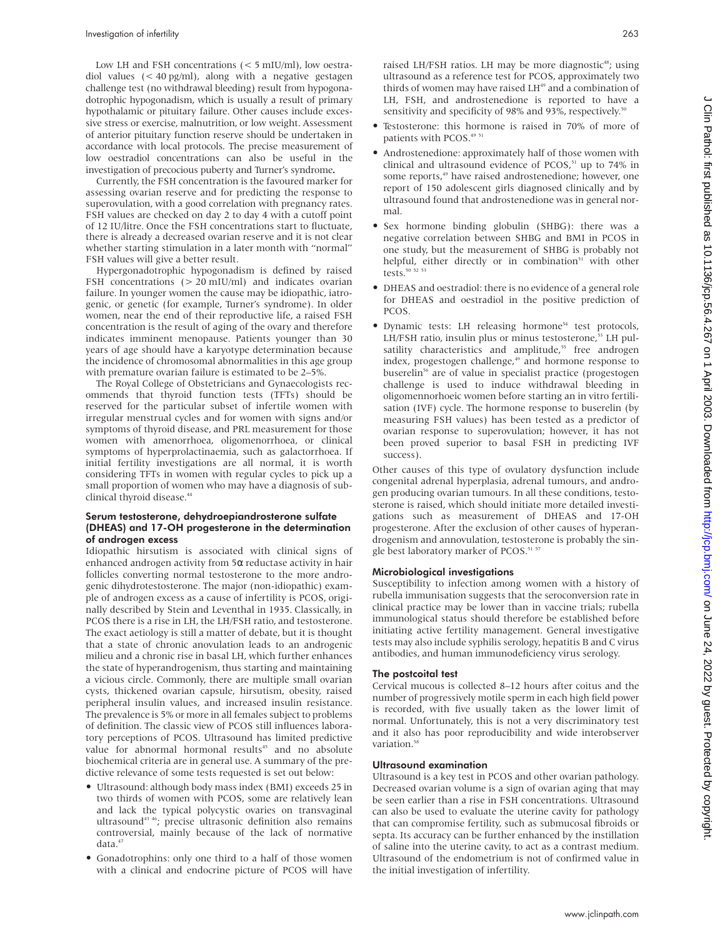Low LH and FSH concentrations (< 5 mIU/ml), low oestradiol values (< 40 pg/ml), along with a negative gestagen challenge test (no withdrawal bleeding) result from hypogonadotrophic hypogonadism, which is usually a result of primary hypothalamic or pituitary failure. Other causes include excessive stress or exercise, malnutrition, or low weight. Assessment of anterior pituitary function reserve should be undertaken in accordance with local protocols. The precise measurement of low oestradiol concentrations can also be useful in the investigation of precocious puberty and Turner's syndrome**.**

Currently, the FSH concentration is the favoured marker for assessing ovarian reserve and for predicting the response to superovulation, with a good correlation with pregnancy rates. FSH values are checked on day 2 to day 4 with a cutoff point of 12 IU/litre. Once the FSH concentrations start to fluctuate, there is already a decreased ovarian reserve and it is not clear whether starting stimulation in a later month with "normal" FSH values will give a better result.

Hypergonadotrophic hypogonadism is defined by raised FSH concentrations  $(> 20 \text{ m})$  and indicates ovarian failure. In younger women the cause may be idiopathic, iatrogenic, or genetic (for example, Turner's syndrome). In older women, near the end of their reproductive life, a raised FSH concentration is the result of aging of the ovary and therefore indicates imminent menopause. Patients younger than 30 years of age should have a karyotype determination because the incidence of chromosomal abnormalities in this age group with premature ovarian failure is estimated to be 2–5%.

The Royal College of Obstetricians and Gynaecologists recommends that thyroid function tests (TFTs) should be reserved for the particular subset of infertile women with irregular menstrual cycles and for women with signs and/or symptoms of thyroid disease, and PRL measurement for those women with amenorrhoea, oligomenorrhoea, or clinical symptoms of hyperprolactinaemia, such as galactorrhoea. If initial fertility investigations are all normal, it is worth considering TFTs in women with regular cycles to pick up a small proportion of women who may have a diagnosis of subclinical thyroid disease.<sup>44</sup>

### Serum testosterone, dehydroepiandrosterone sulfate (DHEAS) and 17-OH progesterone in the determination of androgen excess

Idiopathic hirsutism is associated with clinical signs of enhanced androgen activity from  $5\alpha$  reductase activity in hair follicles converting normal testosterone to the more androgenic dihydrotestosterone. The major (non-idiopathic) example of androgen excess as a cause of infertility is PCOS, originally described by Stein and Leventhal in 1935. Classically, in PCOS there is a rise in LH, the LH/FSH ratio, and testosterone. The exact aetiology is still a matter of debate, but it is thought that a state of chronic anovulation leads to an androgenic milieu and a chronic rise in basal LH, which further enhances the state of hyperandrogenism, thus starting and maintaining a vicious circle. Commonly, there are multiple small ovarian cysts, thickened ovarian capsule, hirsutism, obesity, raised peripheral insulin values, and increased insulin resistance. The prevalence is 5% or more in all females subject to problems of definition. The classic view of PCOS still influences laboratory perceptions of PCOS. Ultrasound has limited predictive value for abnormal hormonal results<sup>45</sup> and no absolute biochemical criteria are in general use. A summary of the predictive relevance of some tests requested is set out below:

- Ultrasound: although body mass index (BMI) exceeds 25 in two thirds of women with PCOS, some are relatively lean and lack the typical polycystic ovaries on transvaginal ultrasound43 46; precise ultrasonic definition also remains controversial, mainly because of the lack of normative data.<sup>47</sup>
- Gonadotrophins: only one third to a half of those women with a clinical and endocrine picture of PCOS will have

raised LH/FSH ratios. LH may be more diagnostic<sup>48</sup>; using ultrasound as a reference test for PCOS, approximately two thirds of women may have raised LH<sup>49</sup> and a combination of LH, FSH, and androstenedione is reported to have a sensitivity and specificity of 98% and 93%, respectively.<sup>50</sup>

- Testosterone: this hormone is raised in 70% of more of patients with PCOS.<sup>49 5</sup>
- Androstenedione: approximately half of those women with clinical and ultrasound evidence of  $PCOS$ ,<sup>51</sup> up to 74% in some reports,<sup>49</sup> have raised androstenedione; however, one report of 150 adolescent girls diagnosed clinically and by ultrasound found that androstenedione was in general normal.
- Sex hormone binding globulin (SHBG): there was a negative correlation between SHBG and BMI in PCOS in one study, but the measurement of SHBG is probably not helpful, either directly or in combination<sup>51</sup> with other tests.<sup>50 52 53</sup>
- DHEAS and oestradiol: there is no evidence of a general role for DHEAS and oestradiol in the positive prediction of PCOS.
- Dynamic tests: LH releasing hormone54 test protocols, LH/FSH ratio, insulin plus or minus testosterone,<sup>53</sup> LH pulsatility characteristics and amplitude,<sup>55</sup> free androgen index, progestogen challenge,<sup>49</sup> and hormone response to buserelin<sup>56</sup> are of value in specialist practice (progestogen challenge is used to induce withdrawal bleeding in oligomennorhoeic women before starting an in vitro fertilisation (IVF) cycle. The hormone response to buserelin (by measuring FSH values) has been tested as a predictor of ovarian response to superovulation; however, it has not been proved superior to basal FSH in predicting IVF success).

Other causes of this type of ovulatory dysfunction include congenital adrenal hyperplasia, adrenal tumours, and androgen producing ovarian tumours. In all these conditions, testosterone is raised, which should initiate more detailed investigations such as measurement of DHEAS and 17-OH progesterone. After the exclusion of other causes of hyperandrogenism and annovulation, testosterone is probably the single best laboratory marker of PCOS.<sup>51 57</sup>

# Microbiological investigations

Susceptibility to infection among women with a history of rubella immunisation suggests that the seroconversion rate in clinical practice may be lower than in vaccine trials; rubella immunological status should therefore be established before initiating active fertility management. General investigative tests may also include syphilis serology, hepatitis B and C virus antibodies, and human immunodeficiency virus serology.

### The postcoital test

Cervical mucous is collected 8–12 hours after coitus and the number of progressively motile sperm in each high field power is recorded, with five usually taken as the lower limit of normal. Unfortunately, this is not a very discriminatory test and it also has poor reproducibility and wide interobserver variation.<sup>58</sup>

### Ultrasound examination

Ultrasound is a key test in PCOS and other ovarian pathology. Decreased ovarian volume is a sign of ovarian aging that may be seen earlier than a rise in FSH concentrations. Ultrasound can also be used to evaluate the uterine cavity for pathology that can compromise fertility, such as submucosal fibroids or septa. Its accuracy can be further enhanced by the instillation of saline into the uterine cavity, to act as a contrast medium. Ultrasound of the endometrium is not of confirmed value in the initial investigation of infertility.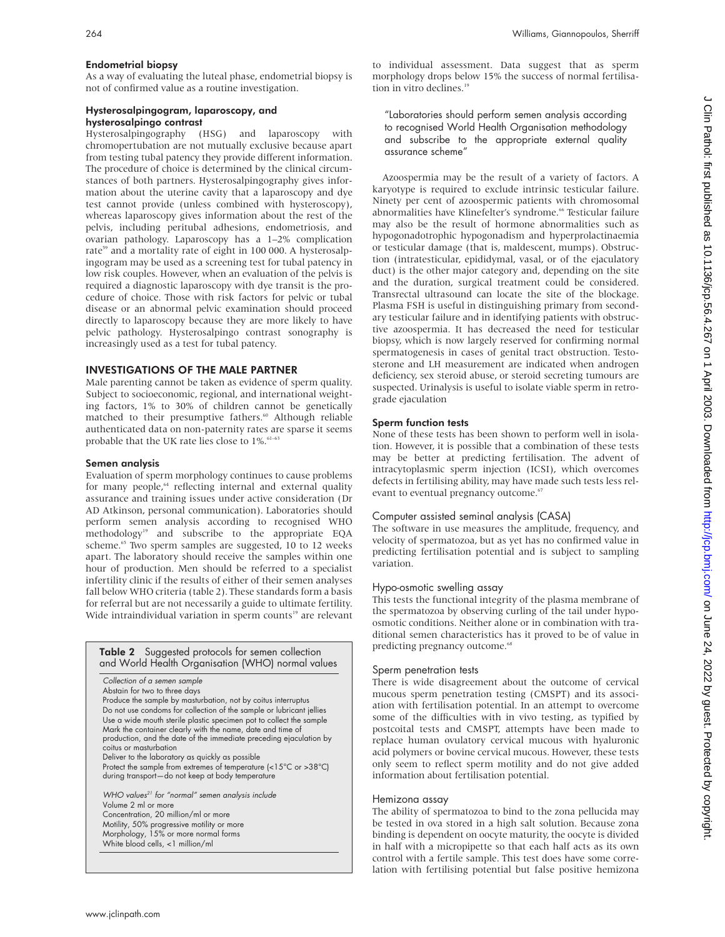# J Clin Pathol: first published as 10.1136/jcp.56.4.267 on 1 April 2003. Downloaded from http://jcp.bmj.com/ on June 24, 2022 by guest. Protected by copyright on June 25, 2022 by guest Protected by copyright. Pathol: first published from the first published from the first published as 10.1136/jcp.56.4.267 on 1 and 24, 2022 by 1 and 24, 2022 by 1 and 24, 2022. Download from the 2

# Endometrial biopsy

As a way of evaluating the luteal phase, endometrial biopsy is not of confirmed value as a routine investigation.

# Hysterosalpingogram, laparoscopy, and hysterosalpingo contrast

 $Hysterosalpingography$   $(HSG)$  and laparoscopy chromopertubation are not mutually exclusive because apart from testing tubal patency they provide different information. The procedure of choice is determined by the clinical circumstances of both partners. Hysterosalpingography gives information about the uterine cavity that a laparoscopy and dye test cannot provide (unless combined with hysteroscopy), whereas laparoscopy gives information about the rest of the pelvis, including peritubal adhesions, endometriosis, and ovarian pathology. Laparoscopy has a 1–2% complication rate<sup>59</sup> and a mortality rate of eight in 100 000. A hysterosalpingogram may be used as a screening test for tubal patency in low risk couples. However, when an evaluation of the pelvis is required a diagnostic laparoscopy with dye transit is the procedure of choice. Those with risk factors for pelvic or tubal disease or an abnormal pelvic examination should proceed directly to laparoscopy because they are more likely to have pelvic pathology. Hysterosalpingo contrast sonography is increasingly used as a test for tubal patency.

# INVESTIGATIONS OF THE MALE PARTNER

Male parenting cannot be taken as evidence of sperm quality. Subject to socioeconomic, regional, and international weighting factors, 1% to 30% of children cannot be genetically matched to their presumptive fathers.<sup>60</sup> Although reliable authenticated data on non-paternity rates are sparse it seems probable that the UK rate lies close to 1%.<sup>61-63</sup>

# Semen analysis

Evaluation of sperm morphology continues to cause problems for many people,<sup>64</sup> reflecting internal and external quality assurance and training issues under active consideration (Dr AD Atkinson, personal communication). Laboratories should perform semen analysis according to recognised WHO methodology<sup>19</sup> and subscribe to the appropriate EQA scheme.<sup>65</sup> Two sperm samples are suggested, 10 to 12 weeks apart. The laboratory should receive the samples within one hour of production. Men should be referred to a specialist infertility clinic if the results of either of their semen analyses fall below WHO criteria (table 2). These standards form a basis for referral but are not necessarily a guide to ultimate fertility. Wide intraindividual variation in sperm counts<sup>19</sup> are relevant

**Table 2** Suggested protocols for semen collection and World Health Organisation (WHO) normal values

Collection of <sup>a</sup> semen sample

Abstain for two to three days

Produce the sample by masturbation, not by coitus interruptus Do not use condoms for collection of the sample or lubricant jellies Use a wide mouth sterile plastic specimen pot to collect the sample Mark the container clearly with the name, date and time of production, and the date of the immediate preceding ejaculation by coitus or masturbation

Deliver to the laboratory as quickly as possible

Protect the sample from extremes of temperature (<15°C or >38°C) during transport—do not keep at body temperature

WHO values<sup>21</sup> for "normal" semen analysis include Volume 2 ml or more Concentration, 20 million/ml or more Motility, 50% progressive motility or more Morphology, 15% or more normal forms White blood cells, <1 million/ml

to individual assessment. Data suggest that as sperm morphology drops below 15% the success of normal fertilisation in vitro declines.<sup>19</sup>

"Laboratories should perform semen analysis according to recognised World Health Organisation methodology and subscribe to the appropriate external quality assurance scheme"

Azoospermia may be the result of a variety of factors. A karyotype is required to exclude intrinsic testicular failure. Ninety per cent of azoospermic patients with chromosomal abnormalities have Klinefelter's syndrome.<sup>66</sup> Testicular failure may also be the result of hormone abnormalities such as hypogonadotrophic hypogonadism and hyperprolactinaemia or testicular damage (that is, maldescent, mumps). Obstruction (intratesticular, epididymal, vasal, or of the ejaculatory duct) is the other major category and, depending on the site and the duration, surgical treatment could be considered. Transrectal ultrasound can locate the site of the blockage. Plasma FSH is useful in distinguishing primary from secondary testicular failure and in identifying patients with obstructive azoospermia. It has decreased the need for testicular biopsy, which is now largely reserved for confirming normal spermatogenesis in cases of genital tract obstruction. Testosterone and LH measurement are indicated when androgen deficiency, sex steroid abuse, or steroid secreting tumours are suspected. Urinalysis is useful to isolate viable sperm in retrograde ejaculation

# Sperm function tests

None of these tests has been shown to perform well in isolation. However, it is possible that a combination of these tests may be better at predicting fertilisation. The advent of intracytoplasmic sperm injection (ICSI), which overcomes defects in fertilising ability, may have made such tests less relevant to eventual pregnancy outcome.<sup>67</sup>

# Computer assisted seminal analysis (CASA)

The software in use measures the amplitude, frequency, and velocity of spermatozoa, but as yet has no confirmed value in predicting fertilisation potential and is subject to sampling variation.

# Hypo-osmotic swelling assay

This tests the functional integrity of the plasma membrane of the spermatozoa by observing curling of the tail under hypoosmotic conditions. Neither alone or in combination with traditional semen characteristics has it proved to be of value in predicting pregnancy outcome.<sup>68</sup>

# Sperm penetration tests

There is wide disagreement about the outcome of cervical mucous sperm penetration testing (CMSPT) and its association with fertilisation potential. In an attempt to overcome some of the difficulties with in vivo testing, as typified by postcoital tests and CMSPT, attempts have been made to replace human ovulatory cervical mucous with hyaluronic acid polymers or bovine cervical mucous. However, these tests only seem to reflect sperm motility and do not give added information about fertilisation potential.

# Hemizona assay

The ability of spermatozoa to bind to the zona pellucida may be tested in ova stored in a high salt solution. Because zona binding is dependent on oocyte maturity, the oocyte is divided in half with a micropipette so that each half acts as its own control with a fertile sample. This test does have some correlation with fertilising potential but false positive hemizona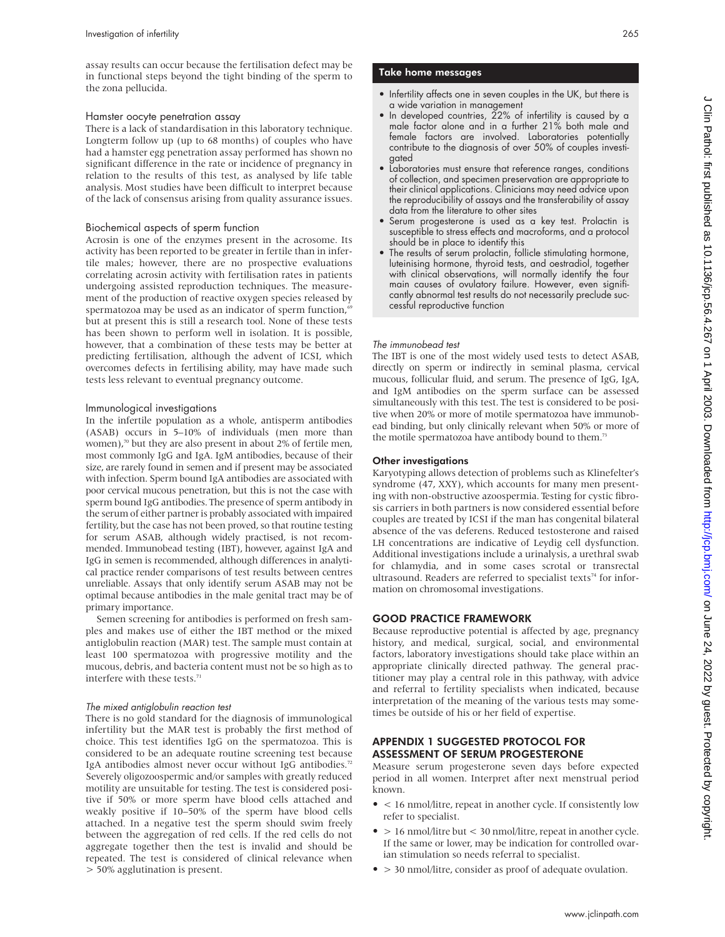assay results can occur because the fertilisation defect may be in functional steps beyond the tight binding of the sperm to the zona pellucida.

# Hamster oocyte penetration assay

There is a lack of standardisation in this laboratory technique. Longterm follow up (up to 68 months) of couples who have had a hamster egg penetration assay performed has shown no significant difference in the rate or incidence of pregnancy in relation to the results of this test, as analysed by life table analysis. Most studies have been difficult to interpret because of the lack of consensus arising from quality assurance issues.

# Biochemical aspects of sperm function

Acrosin is one of the enzymes present in the acrosome. Its activity has been reported to be greater in fertile than in infertile males; however, there are no prospective evaluations correlating acrosin activity with fertilisation rates in patients undergoing assisted reproduction techniques. The measurement of the production of reactive oxygen species released by spermatozoa may be used as an indicator of sperm function, $\theta$ but at present this is still a research tool. None of these tests has been shown to perform well in isolation. It is possible, however, that a combination of these tests may be better at predicting fertilisation, although the advent of ICSI, which overcomes defects in fertilising ability, may have made such tests less relevant to eventual pregnancy outcome.

### Immunological investigations

In the infertile population as a whole, antisperm antibodies (ASAB) occurs in 5–10% of individuals (men more than women), $\frac{70}{10}$  but they are also present in about 2% of fertile men, most commonly IgG and IgA. IgM antibodies, because of their size, are rarely found in semen and if present may be associated with infection. Sperm bound IgA antibodies are associated with poor cervical mucous penetration, but this is not the case with sperm bound IgG antibodies. The presence of sperm antibody in the serum of either partner is probably associated with impaired fertility, but the case has not been proved, so that routine testing for serum ASAB, although widely practised, is not recommended. Immunobead testing (IBT), however, against IgA and IgG in semen is recommended, although differences in analytical practice render comparisons of test results between centres unreliable. Assays that only identify serum ASAB may not be optimal because antibodies in the male genital tract may be of primary importance.

Semen screening for antibodies is performed on fresh samples and makes use of either the IBT method or the mixed antiglobulin reaction (MAR) test. The sample must contain at least 100 spermatozoa with progressive motility and the mucous, debris, and bacteria content must not be so high as to interfere with these tests.<sup>71</sup>

### The mixed antiglobulin reaction test

There is no gold standard for the diagnosis of immunological infertility but the MAR test is probably the first method of choice. This test identifies IgG on the spermatozoa. This is considered to be an adequate routine screening test because IgA antibodies almost never occur without IgG antibodies.<sup>72</sup> Severely oligozoospermic and/or samples with greatly reduced motility are unsuitable for testing. The test is considered positive if 50% or more sperm have blood cells attached and weakly positive if 10–50% of the sperm have blood cells attached. In a negative test the sperm should swim freely between the aggregation of red cells. If the red cells do not aggregate together then the test is invalid and should be repeated. The test is considered of clinical relevance when > 50% agglutination is present.

# Take home messages

- Infertility affects one in seven couples in the UK, but there is a wide variation in management
- In developed countries, 22% of infertility is caused by a male factor alone and in a further 21% both male and female factors are involved. Laboratories potentially contribute to the diagnosis of over 50% of couples investigated
- Laboratories must ensure that reference ranges, conditions of collection, and specimen preservation are appropriate to their clinical applications. Clinicians may need advice upon the reproducibility of assays and the transferability of assay data from the literature to other sites
- Serum progesterone is used as a key test. Prolactin is susceptible to stress effects and macroforms, and a protocol should be in place to identify this
- The results of serum prolactin, follicle stimulating hormone, luteinising hormone, thyroid tests, and oestradiol, together with clinical observations, will normally identify the four main causes of ovulatory failure. However, even significantly abnormal test results do not necessarily preclude successful reproductive function

# The immunobead test

The IBT is one of the most widely used tests to detect ASAB, directly on sperm or indirectly in seminal plasma, cervical mucous, follicular fluid, and serum. The presence of IgG, IgA, and IgM antibodies on the sperm surface can be assessed simultaneously with this test. The test is considered to be positive when 20% or more of motile spermatozoa have immunobead binding, but only clinically relevant when 50% or more of the motile spermatozoa have antibody bound to them.<sup>73</sup>

# Other investigations

Karyotyping allows detection of problems such as Klinefelter's syndrome (47, XXY), which accounts for many men presenting with non-obstructive azoospermia. Testing for cystic fibrosis carriers in both partners is now considered essential before couples are treated by ICSI if the man has congenital bilateral absence of the vas deferens. Reduced testosterone and raised LH concentrations are indicative of Leydig cell dysfunction. Additional investigations include a urinalysis, a urethral swab for chlamydia, and in some cases scrotal or transrectal ultrasound. Readers are referred to specialist texts<sup>74</sup> for information on chromosomal investigations.

# GOOD PRACTICE FRAMEWORK

Because reproductive potential is affected by age, pregnancy history, and medical, surgical, social, and environmental factors, laboratory investigations should take place within an appropriate clinically directed pathway. The general practitioner may play a central role in this pathway, with advice and referral to fertility specialists when indicated, because interpretation of the meaning of the various tests may sometimes be outside of his or her field of expertise.

# APPENDIX 1 SUGGESTED PROTOCOL FOR ASSESSMENT OF SERUM PROGESTERONE

Measure serum progesterone seven days before expected period in all women. Interpret after next menstrual period known.

- < 16 nmol/litre, repeat in another cycle. If consistently low refer to specialist.
- > 16 nmol/litre but < 30 nmol/litre, repeat in another cycle. If the same or lower, may be indication for controlled ovarian stimulation so needs referral to specialist.
- > 30 nmol/litre, consider as proof of adequate ovulation.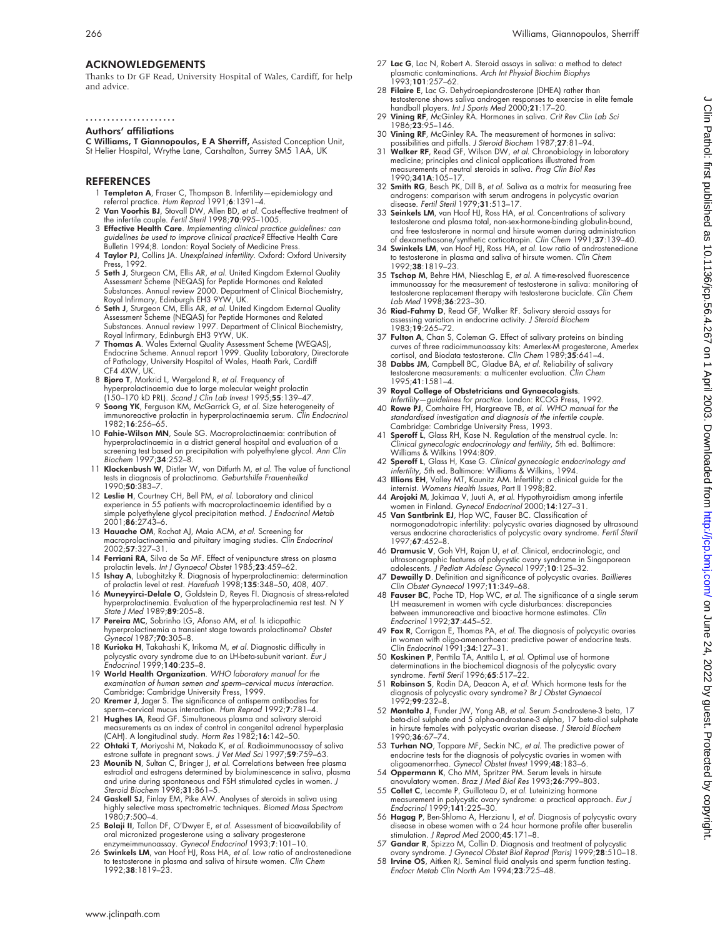Thanks to Dr GF Read, University Hospital of Wales, Cardiff, for help and advice.

# .....................

# Authors' affiliations

C Williams, T Giannopoulos, E A Sherriff, Assisted Conception Unit, St Helier Hospital, Wrythe Lane, Carshalton, Surrey SM5 1AA, UK

### REFERENCES

- 1 Templeton A, Fraser C, Thompson B. Infertility-epidemiology and referral practice. Hum Reprod 1991;6:1391–4.
- 2 Van Voorhis BJ, Stovall DW, Allen BD, et al. Cost-effective treatment of the infertile couple. Fertil Steril 1998;70:995–1005.
- 3 **Effective Health Care**. Implementing clinical practice guidelines: can<br>guidelines be used to improve clinical practice? Effective Health Care<br>Bulletin 1994;8. London: Royal Society of Medicine Press.
- 4 Taylor PJ, Collins JA. Unexplained infertility. Oxford: Oxford University Press, 1992.
- 5 **Seth J**, Sturgeon CM, Ellis AR, *et al*. United Kingdom External Quality<br>Assessment Scheme (NEQAS) for Peptide Hormones and Related<br>Substances. Annual review 2000. Department of Clinical Biochemistry,
- Royal Infirmary, Edinburgh EH3 9YW, UK.<br>6 **Seth J**, Sturgeon CM, Ellis AR, *et al*. United Kingdom External Quality Assessment Scheme (NEQAS) for Peptide Hormones and Related Substances. Annual review 1997. Department of Clinical Biochemistry, Royal Infirmary, Edinburgh EH3 9YW, UK.
- 7 Thomas A. Wales External Quality Assessment Scheme (WEQAS), Endocrine Scheme. Annual report 1999. Quality Laboratory, Directorate of Pathology, University Hospital of Wales, Heath Park, Cardiff CF4 4XW, UK.
- 8 **Bjoro T**, Morkrid L, Wergeland R, *et al.* Frequency of<br>hyperprolactinaemia due to large molecular weight prolactin<br>150–170 kD PRL). *Scand J Clin Lab Invest* 1995;**55**:139–47.
- 9 **Soong YK**, Ferguson KM, McGarrick G, et al. Size heterogeneity of immunoreactive prolactin in hyperprolactinaemia serum. Clin Endocrinol 1982;16:256–65.
- 10 Fahie-Wilson MN, Soule SG. Macroprolactinaemia: contribution of hyperprolactinaemia in a district general hospital and evaluation of a screening test based on precipitation with polyethylene glycol. *Ann Clin*<br>Biochem 1997;**34**:252–8.
- 11 Klockenbush W, Distler W, von Ditfurth M, et al. The value of functional tests in diagnosis of prolactinoma. Geburtshilfe Frauenheilkd 1990;50:383–7.
- 12 Leslie H, Courtney CH, Bell PM, et al. Laboratory and clinical experience in 55 patients with macroprolactinaemia identified by a simple polyethylene glycol precipitation method. *J Endocrinol Metab*<br>2001;**86**:2743–6.
- 13 Hauache OM, Rochat AJ, Maia ACM, et al. Screening for macroprolactinaemia and pituitary imaging studies. Clin Endocrinol 2002;57:327–31.
- 14 **Ferriani RA**, Silva de Sa MF. Effect of venipuncture stress on plasma<br>prolactin levels. *Int J Gynaecol Obstet* 1985;**23**:459–62.<br>15 **Ishay A**, Luboghitzky R. Diagnosis of hyperprolactinemia: determination<br>of prolactin
- 
- 16 Muneyyirci-Delale O, Goldstein D, Reyes Fl. Diagnosis of stress-related hyperprolactinemia. Evaluation of the hyperprolactinemia rest test. N Y State J Med 1989;89:205–8.
- 17 Pereira MC, Sobrinho LG, Afonso AM, et al. Is idiopathic hyperprolactinemia a transient stage towards prolactinoma? Obstet Gynecol 1987;70:305–8.
- 18 **Kurioka H**, Takahashi K, Irikoma M, *et al*. Diagnostic difficulty in<br>polycystic ovary syndrome due to an LH-beta-subunit variant. *Eur J*<br>Endocrinol 1999;1**40**:235–8.
- 19 World Health Organization. WHO laboratory manual for the examination of human semen and sperm–cervical mucus interaction.<br>Cambridge: Cambridge University Press, 1999.<br>20 **Kremer J**, Jager S. The significance of antisperm antibodies for<br>sperm–cervical mucus interaction. Hum Repro
- 
- 21 **Hughes IA**, Read GF. Simultaneous plasma and salivary steroid measurements as an index of control in congenital adrenal hyperplasia
- (CAH). A longitudinal study. *Horm Res* 1982;**16**:142–50.<br>22 **Ohtaki T**, Moriyoshi M, Nakada K, *et al.* Radioimmunoassay of saliva<br>estrone sulfate in pregnant sows. J Vet Med Sci 1997;**59**:759–63.<br>23 **Mounib N,** Sultan C,
- estradiol and estrogens determined by bioluminescence in saliva, plasma<br>and urine during spontaneous and FSH stimulated cycles in women. *J*<br>*Steroid Biochem* 1998;**31**:861–5.
- 24 Gaskell SJ, Finlay EM, Pike AW. Analyses of steroids in saliva using highly selective mass spectrometric techniques. Biomed Mass Spectrom 1980;7:500–4.
- 25 Bolaji II, Tallon DF, O'Dwyer E, et al. Assessment of bioavailability of oral micronized progesterone using a salivary progesterone enzymeimmunoassay. Gynecol Endocrinol 1993;7:101–10.
- 26 Swinkels LM, van Hoof HJ, Ross HA, et al. Low ratio of androstenedione to testosterone in plasma and saliva of hirsute women. Clin Chem 1992;38:1819–23.
- 27 Lac G, Lac N, Robert A. Steroid assays in saliva: a method to detect plasmatic contaminations. Arch Int Physiol Biochim Biophys 1993;101:257–62.
- 28 Filaire E, Lac G. Dehydroepiandrosterone (DHEA) rather than testosterone shows saliva androgen responses to exercise in elite female handball players. Int J Sports Med 2000;21:17-20.
- 29 Vining RF, McGinley RA. Hormones in saliva. Crit Rev Clin Lab Sci 1986;23:95–146.
- 30 Vining RF, McGinley RA. The measurement of hormones in saliva:
- possibilities and pitfalls. J Steroid Biochem 1987;27:81–94.<br>31 Walker RF, Read GF, Wilson DW, *et al*. Chronobiology in laboratory<br>medicine; principles and clinical applications illustrated from measurements of neutral steroids in saliva. Prog Clin Biol Res 1990;341A:105–17.
- 32 Smith RG, Besch PK, Dill B, et al. Saliva as a matrix for measuring free
- androgens: comparison with serum androgens in polycystic ovarian<br>disease. Ferril Steril 1979;31:513–17.<br>33 Seinkels LM, van Hoof HJ, Ross HA, et al. Concentrations of salivary<br>testosterone and plasma total, non-sex-hormone and free testosterone in normal and hirsute women during administration of dexamethasone/synthetic corticotropin. Clin Chem 1991;37:139–40.
- 34 Swinkels LM, van Hoof HJ, Ross HA, et al. Low ratio of androstenedione to testosterone in plasma and saliva of hirsute women. Clin Chem 1992;38:1819–23.
- 35 Tschop M, Behre HM, Nieschlag E, et al. A time-resolved fluorescence immunoassay for the measurement of testosterone in saliva: monitoring of testosterone replacement therapy with testosterone buciclate. Clin Chem Lab Med 1998;36:223–30.
- 36 Riad-Fahmy D, Read GF, Walker RF. Salivary steroid assays for assessing variation in endocrine activity. J Steroid Biochem 1983;19:265–72.
- 37 Fulton A, Chan S, Coleman G. Effect of salivary proteins on binding curves of three radioimmunoassay kits: Amerlex-M progesterone, Amerlex cortisol, and Biodata testosterone. Clin Chem 1989;35:641–4.
- 38 Dabbs JM, Campbell BC, Gladue BA, et al. Reliability of salivary testosterone measurements: a multicenter evaluation. Clin Chem 1995;41:1581–4.
- 
- 39 **Royal College of Obstetricians and Gynaecologists**.<br>1992 Infertility—guidelines for practice. London: RCOG Press, 1992.<br>40 **Rowe PJ**, Comhaire FH, Hargreave TB, et al. WHO manual for the standardised investigation and diagnosis of the infertile couple. Cambridge: Cambridge University Press, 1993.
- Speroff L, Glass RH, Kase N. Regulation of the menstrual cycle. In: Clinical gynecologic endocrinology and fertility, 5th ed. Baltimore: Williams & Wilkins 1994:809.
- 42 Speroff L, Glass H, Kase G. Clinical gynecologic endocrinology and infertility, 5th ed. Baltimore: Williams & Wilkins, 1994.
- 
- 43 **Illions EH**, Valley MT, Kaunitz AM. Infertility: a clinical guide for the<br>internist. Womens Health Issues, Part II 1998;82.<br>44 **Arojoki M**, Jokimaa V, Juuti A, et al. Hypothyroidism among infertile<br>women in Finland. Gy
- normogonadotropic infertility: polycystic ovaries diagnosed by ultrasound versus endocrine characteristics of polycystic ovary syndrome. Fertil Steril 1997;67:452–8.
- 46 Dramusic V, Goh VH, Rajan U, et al. Clinical, endocrinologic, and ultrasonographic features of polycystic ovary syndrome in Singaporean adolescents. J Pediatr Adolesc Gynecol 1997;10:125–32.
- 47 Dewailly D. Definition and significance of polycystic ovaries. Baillieres Clin Obstet Gynaecol 1997;11:349–68.
- 48 Fauser BC, Pache TD, Hop WC, et al. The significance of a single serum LH measurement in women with cycle disturbances: discrepancies between immunoreactive and bioactive hormone estimates. Clin Endocrinol 1992;37:445–52.
- 49 Fox R, Corrigan E, Thomas PA, et al. The diagnosis of polycystic ovaries in women with oligo-amenorrhoea: predictive power of endocrine tests.<br>*Clin Endocrinol* 1991;**34**:127–31.
- 50 Koskinen P, Penttila TA, Anttila L, et al. Optimal use of hormone determinations in the biochemical diagnosis of the polycystic ovary syndrome. Fertil Steril 1996;65:517–22.
- 51 Robinson S, Rodin DA, Deacon A, et al. Which hormone tests for the diagnosis of polycystic ovary syndrome? Br J Obstet Gynaecol 1992;99:232–8.
- 52 Montalto J, Funder JW, Yong AB, et al. Serum 5-androstene-3 beta, 17 beta-diol sulphate and 5 alpha-androstane-3 alpha, 17 beta-diol sulphate in hirsute females with polycystic ovarian disease. J Steroid Biochem 1990:36:67-74.
- 53 Turhan NO, Toppare MF, Seckin NC, et al. The predictive power of endocrine tests for the diagnosis of polycystic ovaries in women with<br>oligoamenorhea. Gynecol Obstet Invest 1999;48:183-6.<br>**54 Oppermann K**, Cho MM, Spritzer PM. Serum levels in hirsute<br>anovulatory women. *Braz J Med Biol*
- 
- 55 Collet C, Lecomte P, Guilloteau D, et al. Luteinizing hormone measurement in polycystic ovary syndrome: a practical approach. Eur J Endocrinol 1999;141:225–30.
- 56 **Hagag P**, Ben-Shlomo A, Herzianu I, *et al.* Diagnosis of polycystic ovary<br>disease in obese women with a 24 hour hormone profile after buserelin<br>stimulation. *J Reprod Med* 2000;4**5**:171–8.
- 57 Gandar R, Spizzo M, Collin D. Diagnosis and treatment of polycystic ovary syndrome. J Gynecol Obstet Biol Reprod (Paris) 1999;28:510–18.
- 58 Irvine OS, Aitken RJ. Seminal fluid analysis and sperm function testing. Endocr Metab Clin North Am 1994;23:725-48.